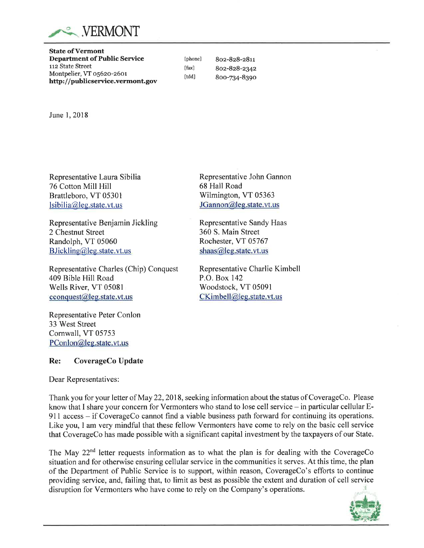

State ofVermont Department of Public Service 112 State Street Montpelier, VT o56zo-z6or http://publicservice.vermont.gov

8oe-828-z8rr 8oz-828-2342 800-734-8390

[phone] [fax] [tdd]

June 1,2018

Representative Laura Sibilia 76 Cotton Mill Hill Brattleboro, VT 05301 lsibilia@leg.state.vt.us

Representative Benjamin Jickling 2 Chestnut Street Randolph, VT 05060 B Jickling  $\omega$  leg. state. vt. us

Representative Charles (Chip) Conquest 409 Bible Hill Road Wells River, VT 05081 cconquest@leg.state.vt.us

Representative Peter Conlon 33 West Street Cornwall, VT 05753 PConlon@leg.state.vt.us

### Re: CoverageCo Update

Dear Representatives:

Thank you for your letter of May 22,2018, seeking information about the status of CoverageCo. Please know that I share your concern for Vermonters who stand to lose cell service  $-$  in particular cellular  $E$ -911 access – if CoverageCo cannot find a viable business path forward for continuing its operations. Like you, I am very mindful that these fellow Vermonters have come to rely on the basic cell service that CoverageCo has made possible with a significant capital investment by the taxpayers of our State.

The May  $22<sup>nd</sup>$  letter requests information as to what the plan is for dealing with the CoverageCo situation and for otherwise ensuring cellular service in the communities it serves. At this time, the plan of the Department of Public Service is to support, within reason, CoverageCo's efforts to continue providing service, and, failing that, to limit as best as possible the extent and duration of cell service disruption for Vermonters who have come to rely on the Company's operations.



Representative John Gannon 68 Hall Road Wilmington, VT 05363 JGannon@leg.state.vt.us

Representative Sandy Haas 360 S. Main Street Rochester, VT 05767 shaas@leg.state.vt.us

Representative Charlie Kimbell P.O. Box 142 Woodstock, VT 05091 CKimbell@leg.state.vt.us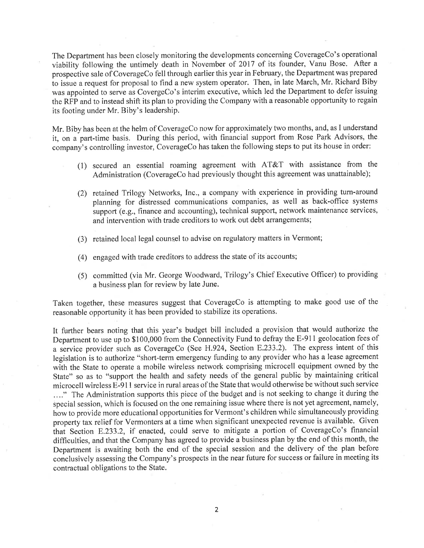The Department has been closely monitoring the developments concerning CoverageCo's operational viability following the untimely death in November of 2017 of its founder, Vanu Bose. After <sup>a</sup> prospective sale of CoverageCo fell through earlier this year in February, the Department was prepared to issue a request for proposal to find a new system operator. Then, in late March, Mr. Richard Biby was appointed to serve as CovergeCo's interim executive, which led the Department to defer issuing the RFP and to instead shift its plan to providing the Company with a reasonable opportunity to regain its footing under Mr. Biby's leadership.

Mr. Biby has been at the helm of CoverageCo now for approximately two months, and, as I understand it, on a part-time basis. During this period, with financial support from Rose Park Advisors, the company's controlling investor, CoverageCo has taken the following steps to put its house in order:

- (i) secured an essential roaming agreement with AT&T with assistance from the Administration (CoverageCo had previously thought this agreement was unattainable);
- (2) retained Trilogy Networks, Inc., a company with experience in providing turn-around planning for distressed communications companies, as well as back-office systems support (e.g., finance and accounting), technical support, network maintenance services, and intervention with trade creditors to work out debt arrangements;
- (3) retained local legal counsel to advise on regulatory matters in Vermont;
- (4) engaged with trade creditors to address the state of its accounts;
- (5) committed (via Mr. George Woodward, Trilogy's Chief Executive Officer) to providing a business plan for review by late June.

Taken together, these measures suggest that CoverageCo is attempting to make good use of the reasonable opportunity it has been provided to stabilize its operations.

It further bears noting that this year's budget bill included a provision that would authorize the Department to use up to \$100,000 from the Connectivity Fund to defray the E-911 geolocation fees of a service provider such as CoverageCo (See H.924, Section E.233.2). The express intent of this legislation is to authorize "short-term emergency funding to any provider who has a lease agreement with the State to operate a mobile wireless network comprising microcell equipment owned by the State" so as to "support the health and safety needs of the general public by maintaining critical microcell wireless E-91 I service in rural areas of the State that would otherwise be without such service . ..." The Administration supports this piece of the budget and is not seeking to change it during the special session, which is focused on the one remaining issue where there is not yet agreement, namely, how to provide more educational opportunities for Vermont's children while simultaneously providing property tax relief for Vermonters at a time when significant unexpected revenue is available. Given that Section 8.233.2, if enacted, could serve to mitigate a portion of CoverageCo's financial difficulties, and that the Company has agreed to provide a business plan by the end of this month, the Department is awaiting both the end of the special session and the delivery of the plan before conclusively assessing the Company's prospects in the near future for success or failure in meeting its contractual obligations to the State.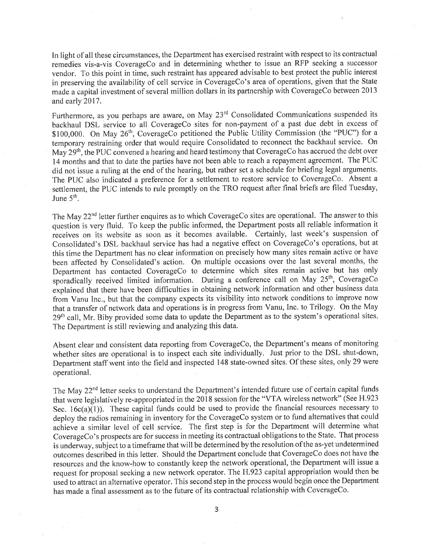In light of all these circumstances, the Department has exercised restraint with respect to its contractual remedies vis-a-vis CoverageCo and in determining whether to issue an RFP seeking a successor vendor. To this point in time, such restraint has appeared advisable to best protect the public interest in preserving the availability of cell service in CoverageCo's area of operations, given that the State made a capital investment of several million dollars in its partnership with CoverageCo between 2013 and early 2017.

Furthermore, as you perhaps are aware, on May 23<sup>rd</sup> Consolidated Communications suspended its backhaul DSL service to all CoverageCo sites for non-payment of a past due debt in excess of \$100,000. On May 26<sup>th</sup>, CoverageCo petitioned the Public Utility Commission (the "PUC") for a temporary restraining order that would require Consolidated to reconnect the backhaul service. On May  $29<sup>th</sup>$ , the PUC convened a hearing and heard testimony that CoverageCo has accrued the debt over 14 months and that to date the parties have not been able to reach a repayment agreement. The PUC did not issue a ruling at the end of the hearing, but rather set a schedule for briefing legal arguments. The PUC also indicated a preference for a sefflement to restore service to CoverageCo. Absent <sup>a</sup> settlement, the PUC intends to rule promptly on the TRO request after final briefs are filed Tuesday, June  $5<sup>th</sup>$ .

The May 22<sup>nd</sup> letter further enquires as to which CoverageCo sites are operational. The answer to this question is very fluid. To keep the public informed, the Department posts all reliable information it receives on its website as soon as it becomes available, Certainly, last week's suspension of Consolidated's DSL backhaul service has had a negative effect on CoverageCo's operations, but at this time the Department has no clear information on precisely how many sites remain active or have been affected by Consolidated's action. On multiple occasions over the last several months, the Department has contacted CoverageCo to determine which sites remain active. but has only sporadically received limited information. During a conference call on May 25<sup>th</sup>, CoverageCo explained that there have been difficulties in obtaining network information and other business data from Vanu Inc., but that the company expects its visibility into network conditions to improve now that a transfer of network data and operations is in progress from Vanu, Inc. to Trilogy. On the May 29<sup>th</sup> call, Mr. Biby provided some data to update the Department as to the system's operational sites. The Department is still reviewing and analyzing this data.

Absent clear and consistent data reporting from CoverageCo, the Department's means of monitoring whether sites are operational is to inspect each site individually. Just prior to the DSL shut-down, Department staff went into the field and inspected 148 state-owned sites. Of these sites, only 29 were operational.

The May 22<sup>nd</sup> letter seeks to understand the Department's intended future use of certain capital funds that were legislatively re-appropriated in the 2018 session for the "VTA wireless network" (See H.923 Sec.  $16c(a)(1)$ ). These capital funds could be used to provide the financial resources necessary to deploy the radios remaining in inventory for the CoverageCo system or to fund alternatives that could achieve a similar level of cell service. The first step is for the Department will determine what CoverageCo's prospects are for success in meeting its contractual obligations to the State. That process is underway, subject to a timeframe that will be determined by the resolution of the as-yet undetermined outcomes described in this letter. Should the Department conclude that CoverageCo does not have the resources and the know-how to constantly keep the network operational, the Department will issue <sup>a</sup> request for proposal seeking a new network operator. The H.923 capital appropriation would then be used to attract an alternative operator. This second step in the process would begin once the Department has made a final assessment as to the future of its contractual relationship with CoverageCo.

3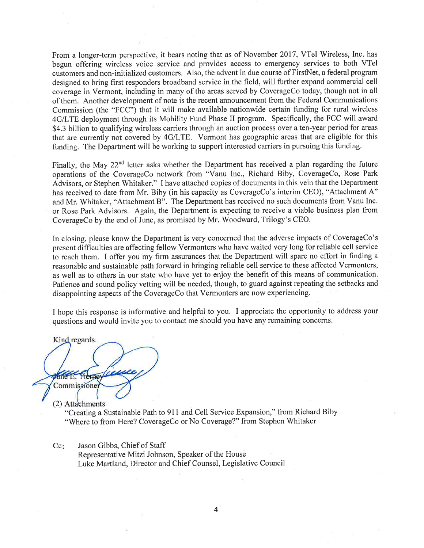From a longer-term perspective, it bears noting that as of November 2017, VTel Wireless, Inc. has begun offering wireless voice service and provides access to emergency services to both VTel customers and non-initialized customers. Also, the advent in due course of FirstNet, a federal program designed to bring first responders broadband service in the field, will further expand commercial cell coverage in Vermont, including in many of the areas served by CoverageCo today, though not in all of them. Another development of note is the recent announcement from the Federal Communications Commission (the "FCC") that it will make available nationwide certain funding for rural wireless 4G/LTE deployment through its Mobility Fund Phase II program. Specifically, the FCC will award \$4.3 billion to qualifying wireless carriers through an auction process over a ten-year period for areas that are currently not covered by 4G/LTE. Vermont has geographic areas that are eligible for this funding. The Department will be working to support interested carriers in pursuing this funding.

Finally, the May 22<sup>nd</sup> letter asks whether the Department has received a plan regarding the future operations of the CoverageCo network from "Vanu Inc., Richard Biby, CoverageCo, Rose Park Advisors, or Stephen Whitaker." I have attached copies of documents in this vein that the Department has received to date from Mr. Biby (in his capacity as CoverageCo's interim CEO), "Attachment A" and Mr. Whitaker, "Attachment B". The Department has received no such documents from Vanu Inc. or Rose Park Advisors. Again, the Department is expecting to receive a viable business plan from CoverageCo by the end of June, as promised by Mr. Woodward, Trilogy's CEO.

In closing, please know the Department is very concerned that the adverse impacts of CoverageCo's present difficulties are affecting fellow Vermonters who have waited very long for reliable cell service to reach them. I offer you my firm assurances that the Department will spare no effort in finding <sup>a</sup> reasonable and sustainable path forward in bringing reliable cell service to these affected Vermonters, as well as to others in our state who have yet to enjoy the benefit of this means of communication. Patience and sound policy vetting will be needed, though, to guard against repeating the setbacks and disappointing aspects of the CoverageCo that Vermonters are now experiencing.

I hope this response is informative and helpful to you. I appreciate the opportunity to address your questions and would invite you to contact me should you have any remaining concerns.

Kind regards. Ficrney Commissioner

(2) Attachments

"Creating a Sustainable Path to 911 and Cell Service Expansion," from Richard Biby "Where to from Here? CoverageCo or No Coverage?" from Stephen Whitaker

Jason Gibbs, Chief of Staff Cc:

Representative Mitzi Johnson, Speaker of the House Luke Martland, Director and Chief Counsel, Legislative Council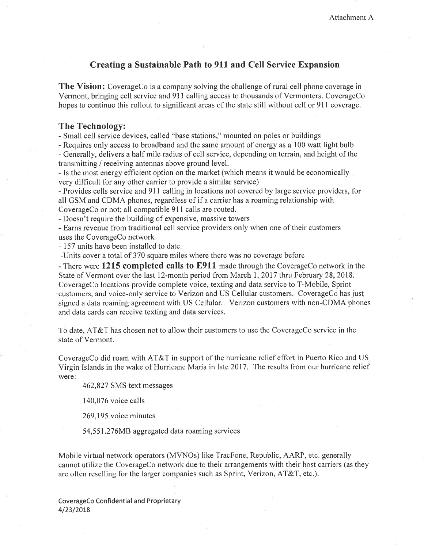# Creating a Sustainable Path to 911 and Cell Service Expansion

The Vision: CoverageCo is a company solving the challenge of rural cell phone coverage in Vermont, bringing cell service and 911 calling access to thousands of Vermonters. CoverageCo hopes to continue this rollout to significant areas of the state still without cell or 911 coverage.

#### The Technology:

- Small cell service devices, called "base stations," mounted on poles or buildings

- Requires only access to broadband and the same amount of energy as a 100 watt light bulb - Generally, delivers a half mile radius of cell service, depending on terrain, and height of the transmitting / receiving antennas above ground level.

- Is the most energy efficient option on the market (which means it would be economically very difficult for any other carrier to provide a similar service)

- Provides cells service and 9l I calling in locations not covered by large service providers, for all GSM and CDMA phones, regardless of if a carrier has a roaming relationship with CoverageCo or not; all compatible 911 calls are routed.

- Doesn't require the building of expensive, massive towers

- Earns revenue from traditional cell service providers only when one of their customers uses the CoverageCo network

- 157 units have been installed to date.

-Units cover a total of 370 square miles where there was no coverage before

- There were 1215 completed calls to E911 made through the CoverageCo network in the State of Vermont over the last 12-month period from March 1, 2017 thru February 28, 2018. CoverageCo locations provide complete voice, texting and data service to T-Mobile, Sprint customers, and voice-only service to Verizon and US Cellular customers. CoverageCo has just signed a data roaming agreement with US Cellular. Verizon customers with non-CDMA phones and data cards can receive texting and data seruices.

To date, AT&T has chosen not to allow their customers to use the CoverageCo service in the state of Vermont.

CoverageCo did roam with AT&T in support of the hurricane relief effort in Puerto Rico and US Virgin Islands in the wake of Hurricane Maria in late 2017 . The results from our hurricane relief were:

462,827 SMS text messages

140,076 voice calls

269,195 voice minutes

54,551.276MB aggregated data roaming services

Mobile virtual network operators (MVNOs) like TracFone, Republic, AARP, etc. generally cannot utilize the CoverageCo network due to their arrangements with their host carriers (as they are often reselling for the larger companies such as Sprint, Verizon, AT&T, etc.).

CoverageCo Confidential and Proprietary 4/23/2018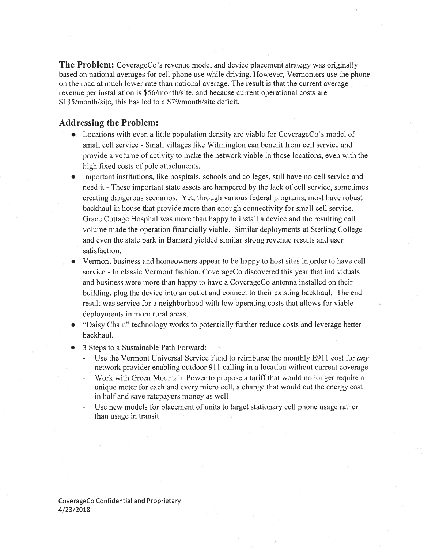The Problem: CoverageCo's revenue model and device placement strategy was originally based on national averages for cell phone use while driving. However, Vermonters use the phone on the road at much lower rate than national average. The result is that the current average revenue per installation is \$56/month/site, and because current operational costs are \$135/month/site, this has led to a \$79/month/site deficit.

## Addressing the Problem:

- . Locations with even a little population density are viable for CoverageCo's model of small cell service - Small villages like Wilmington can benefit from cell service and provide a volume of activity to make the network viable in those locations, even with the high fixed costs of pole attachments.
- . Important institutions, like hospitals, schools and colleges, still have no cell service and need it - These important state assets are hampered by the lack of cell service, sometimes creating dangerous scenarios. Yet, through various federal programs, most have robust backhaul in house that provide more than enough connectivity for small cell service. Grace Cottage Hospital was more than happy to install a device and the resulting call volume made the operation financially viable. Similar deployments at Sterling College and even the state park in Barnard yielded similar strong revenue results and user satisfaction.
- Vermont business and homeowners appear to be happy to host sites in order to have cell service - In classic Vermont fashion, CoverageCo discovered this year that individuals and business were more than happy to have a CoverageCo antenna installed on their building, plug the device into an outlet and connect to their existing backhaul. The end result was service for a neighborhood with low operating costs that allows for viable deployments in more rural areas.
- "Daisy Chain" technology works to potentially further reduce costs and leverage better backhaul.
- 3 Steps to a Sustainable Path Forward:
	- Use the Vermont Universal Service Fund to reimburse the monthly E911 cost for any network provider enabling outdoor 911 calling in a location without current coverage
	- Work with Green Mountain Power to propose a tariff that would no longer require a unique meter for each and every micro cell, a change that would cut the energy cost in half and save ratepayers money as well
	- Use new models for placement of units to target stationary cell phone usage rather than usage in transit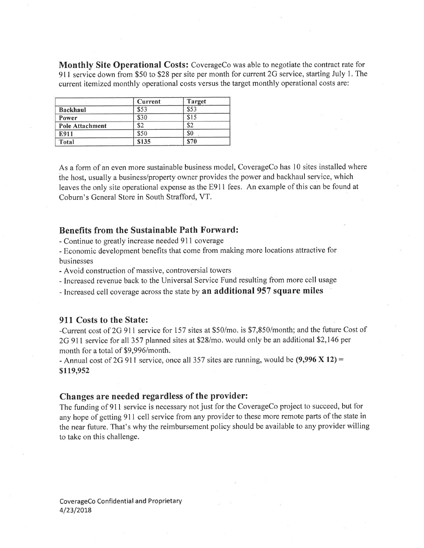Monthly Site Operational Costs: CoverageCo was able to negotiate the contract rate for <sup>91</sup>I service down from \$50 to \$28 per site per month for current 2G service, starting July 1. The current itemized monthly operational costs versus the target monthly operational costs are:

|                 | Current           | <b>Target</b> |
|-----------------|-------------------|---------------|
| <b>Backhaul</b> | \$53              | \$53          |
| Power           | \$30              | \$15          |
| Pole Attachment | \$2               | \$2           |
| E911            | \$50              | \$0           |
| Total           | $\overline{$}135$ | \$70          |

As a form of an even more sustainable business model, CoverageCo has l0 sites installed where the host, usually a business/property owner provides the power and backhaul service, which leaves the only site operational expense as the E91l fees. An example of this can be found at Coburn's General Store in South Strafford, VT.

## Benefits from the Sustainable Path Forward:

- Continue to greatly increase needed 911 coverage
- Economic development benefits that come from making more locations attractive for businesses
- Avoid construction of massive, controversial towers
- Increased revenue back to the Universal Service Fund resulting from more cell usage
- Increased cell coverage across the state by an additional 957 square miles

# 911 Costs to the State:

-Current cost of 2G 911 service for 157 sites at \$50/mo. is \$7,850/month; and the future Cost of 2G 911 service for all 357 planned sites at \$28/mo. would only be an additional \$2,146 per month for a total of \$9,996/month.

- Annual cost of 2G 911 service, once all 357 sites are running, would be  $(9,996 \times 12)$  = \$119,952

### Changes are needed regardless of the provider:

The funding of 911 service is necessary not just for the CoverageCo project to succeed, but for any hope of getting 911 cell service from any provider to these more remote parts of the state in the near future. That's why the reimbursement policy should be available to any provider willing to take on this challenge.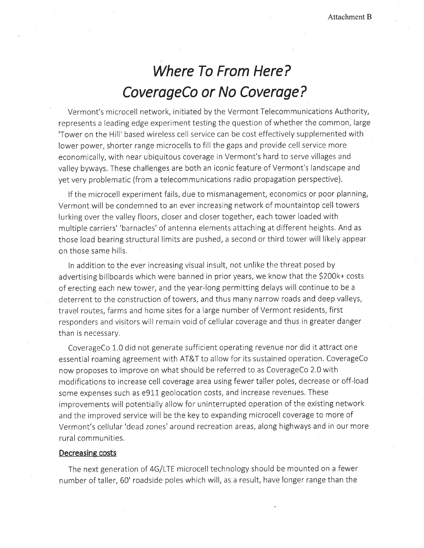# Where To From Here? CoverageCo or No Coverage?

Vermont's microcell network, initiated by the Vermont Telecommunications Authority, represents a leading edge experiment testing the question of whether the common, large 'Tower on the Hill' based wireless cell service can be cost effectively supplemented with lower power, shorter range microcells to fill the gaps and provide cell service more economically, with near ubiquitous coverage in Vermont's hard to serve villages and valley byways, These challenges are both an iconicfeature of Vermont's landscape and yet very problematic (from a telecommunications radio propagation perspective).

lf the microcell experiment fails, due to mismanagement, economics or poor planning, Vermont will be condemned to an ever increasing network of mountaintop cell towers lurking over the valley floors, closer and closer together, each tower loaded with multiple carriers' 'barnacles' of antenna elements attaching at different heights. And as those load bearing structural limits are pushed, a second or third tower will likely appear on those same hills.

ln addition to the ever increasing visual insult, not unlike the threat posed by advertising billboards which were banned in prior years, we know that the S200k+ costs of erecting each new tower, and the year-long permitting delays will continue to be <sup>a</sup> deterrent to the construction of towers, and thus many narrow roads and deep valleys, travel routes, farms and home sites for a large number of Vermont residents, first responders and visitors will remain void of cellular coverage and thus in greater danger than is necessary.

CoverageCo 1,0 did not generate sufficient operating revenue nor did it attract one essential roaming agreement with AT&T to allow for its sustained operation. CoverageCo now proposes to improve on what should be referred to as CoverageCo 2.0 with modifications to increase cell coverage area using fewer taller poles, decrease or off-load some expenses such as egll geolocation costs, and increase revenues. These improvements will potentially allow for uninterrupted operation of the existing network and the improved service will be the key to expanding microcell coverage to more of Vermont's cellular'dead zones'around recreation areas, along highways and in our more rural communities.

#### Decreasing costs

The next generation of aG/LfE microcell technology should be mounted on a fewer number of taller, 60' roadside poles which will, as a result, have longer range than the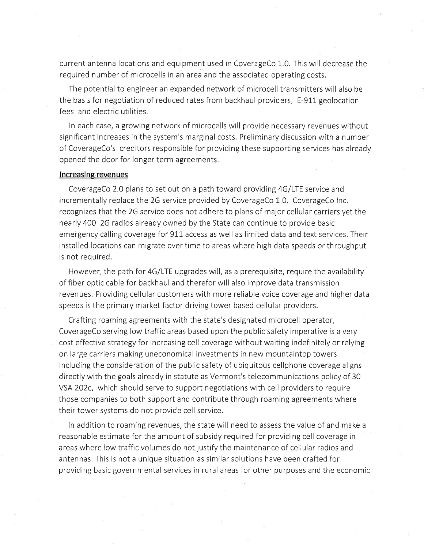current antenna locations and equipment used in CoverageCo 1,0. This will decrease the required number of microcells in an area and the associated operating costs.

The potential to engineer an expanded network of microcell transmitters will also be the basis for negotiation of reduced rates from backhaul providers, E-911 geolocation fees and electric utilities.

ln each case, a growing network of microcells will provide necessary revenues without significant increases in the system's marginal costs, Preliminary discussion with a number of CoverageCo's creditors responsible for providing these supporting services has already opened the door for longer term agreements.

#### lncreasing revenues

CoverageCo 2.0 plans to set out on a path toward providing G/LfE service and incrementally replace the 2G service provided by CoverageCo 1.0, CoverageCo Inc. recognizes that the 2G service does not adhere to plans of major cellular carriers yet the nearly 400 7G radios already owned by the State can continue to provide basic emergency calling coverage for 911 access as well as limited data and text services. Their installed locations can migrate over time to areas where high data speeds or throughput is not required.

However, the path for 4G/LTE upgrades will, as a prerequisite, require the availability of fiber optic cable for backhaul and therefor will also improve data transmission revenues. Providing cellular customers with more reliable voice coverage and higher data speeds is the primary market factor driving tower based cellular providers.

Crafting roaming agreements with the state's designated microcell operator, CoverageCo serving low traffic areas based upon the public safety imperative is a very cost effective strategy for increasing cell coverage without waiting indefinitely or relying on large carriers making uneconomical investments in new mountaintop towers, lncluding the consideration of the public safety of ubiquitous cellphone coverage aligns directly with the goals already in statute as Vermont's telecommunications policy of 30 VSA 202c, which should serve to support negotiations with cell providers to require those companies to both support and contribute through roaming agreements where their tower systems do not provide cell service.

ln addition to roaming revenues, the state will need to assess the value of and make <sup>a</sup> reasonable estimate for the amount of subsidy required for providing cell coverage in areas where low traffic volumes do not justify the maintenance of cellular radios and antennas. This is not a unique situation as similar solutions have been crafted for providing basic governmental services in rural areas for other purposes and the economic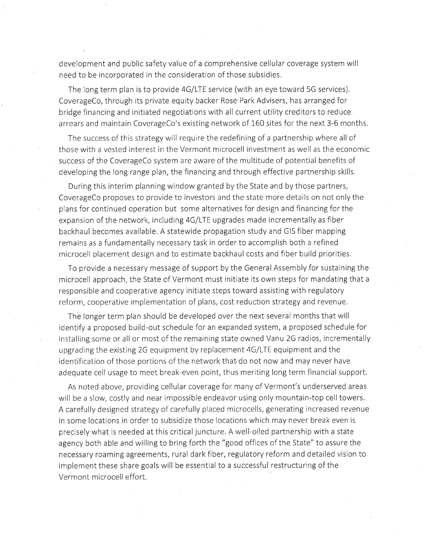development and public safety value of a comprehensive cellular coverage system will need to be incorporated in the consideration of those subsidies.

The long term plan is to provide 4G/LTE service (with an eye toward 5G services). CoverageCo, through its private equity backer Rose Park Advisers, has arranged for bridge financing and initiated negotiations with all current utility creditors to reduce arrears and maintain CoverageCo's existing network of 160 sites for the next 3-6 months.

The success of this strategywill require the redefining of a partnership where all of those with a vested interest in the Vermont microcell investment as well as the economic success of the CoverageCo system are aware of the multitude of potential benefits of developing the long range plan, the financing and through effective partnership skills.

During this interim planning window granted by the State and by those partners, CoverageCo proposes to provide to investors and the state more details on not only the plans for continued operation but some alternatives for design and financing for the expansion of the network, including 4G/LTE upgrades made incrementally as fiber backhaul becomes available, A statewide propagation study and GIS fiber mapping remains as a fundamentally necessary task in order to accomplish both a refined microcell placement design and to estimate backhaulcosts and fiber build priorities.

To provide a necessary message of support by the General Assembly for sustaining the microcell approach, the State of Vermont must initiate its own steps for mandating that <sup>a</sup> responsible and cooperative agency initiate steps toward assisting with regulatory reform, cooperative implementation of plans, cost reduction strategy and revenue.

The longer term plan should be developed over the next several months that will identify a proposed build-out schedule for an expanded system, a proposed schedule for installing some or all or most of the remaining state owned Vanu 2G radios, incrementally upgrading the existing 2G equipment by replacement 4G/LTE equipment and the identification of those portions of the network that do not now and may never have adequate cell usage to meet break-even point, thus meriting long term financial support.

As noted above, providing cellular coverage for many of Vermont's underserved areas will be a slow, costly and near impossible endeavor using only mountain-top cell towers. A carefully designed strategy of carefully placed microcells, generating increased revenue in some locations in order to subsidize those locations which may never break even is precisely what is needed at this critical juncture. A well-oiled partnership with a state agency both able and willing to bring forth the "good offices of the State" to assure the necessary roaming agreements, rural dark fiber, regulatory reform and detailed vision to implement these share goals will be essential to a successful restructuring of the Vermont microcell effort.